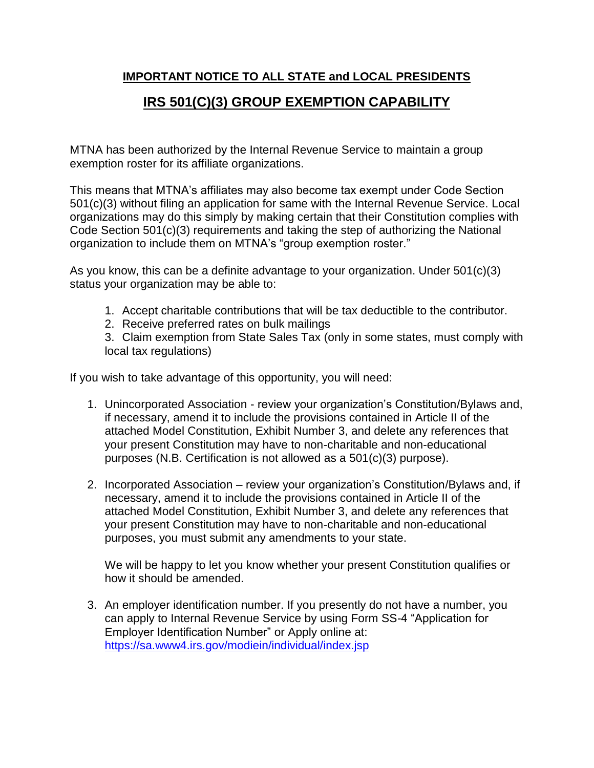# **IMPORTANT NOTICE TO ALL STATE and LOCAL PRESIDENTS**

# **IRS 501(C)(3) GROUP EXEMPTION CAPABILITY**

MTNA has been authorized by the Internal Revenue Service to maintain a group exemption roster for its affiliate organizations.

This means that MTNA's affiliates may also become tax exempt under Code Section 501(c)(3) without filing an application for same with the Internal Revenue Service. Local organizations may do this simply by making certain that their Constitution complies with Code Section 501(c)(3) requirements and taking the step of authorizing the National organization to include them on MTNA's "group exemption roster."

As you know, this can be a definite advantage to your organization. Under 501(c)(3) status your organization may be able to:

- 1. Accept charitable contributions that will be tax deductible to the contributor.
- 2. Receive preferred rates on bulk mailings

3. Claim exemption from State Sales Tax (only in some states, must comply with local tax regulations)

If you wish to take advantage of this opportunity, you will need:

- 1. Unincorporated Association review your organization's Constitution/Bylaws and, if necessary, amend it to include the provisions contained in Article II of the attached Model Constitution, Exhibit Number 3, and delete any references that your present Constitution may have to non-charitable and non-educational purposes (N.B. Certification is not allowed as a 501(c)(3) purpose).
- 2. Incorporated Association review your organization's Constitution/Bylaws and, if necessary, amend it to include the provisions contained in Article II of the attached Model Constitution, Exhibit Number 3, and delete any references that your present Constitution may have to non-charitable and non-educational purposes, you must submit any amendments to your state.

We will be happy to let you know whether your present Constitution qualifies or how it should be amended.

3. An employer identification number. If you presently do not have a number, you can apply to Internal Revenue Service by using Form SS-4 "Application for Employer Identification Number" or Apply online at: <https://sa.www4.irs.gov/modiein/individual/index.jsp>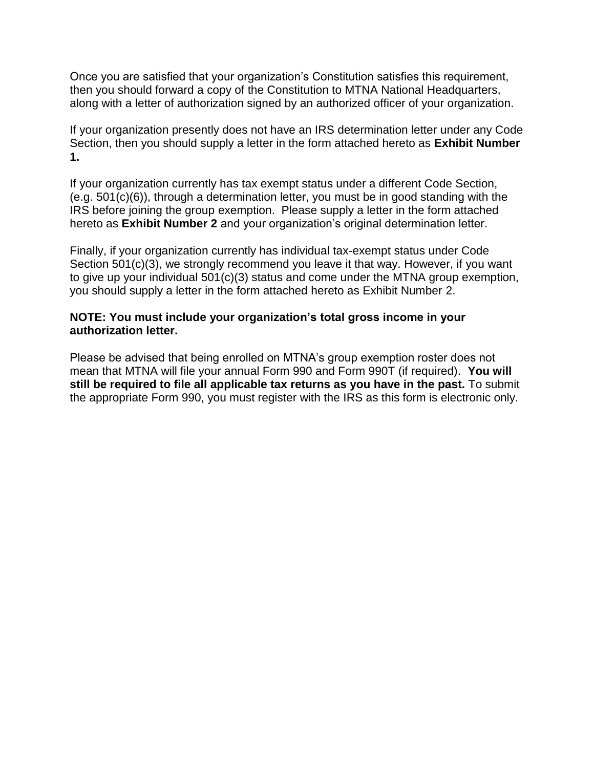Once you are satisfied that your organization's Constitution satisfies this requirement, then you should forward a copy of the Constitution to MTNA National Headquarters, along with a letter of authorization signed by an authorized officer of your organization.

If your organization presently does not have an IRS determination letter under any Code Section, then you should supply a letter in the form attached hereto as **Exhibit Number 1.**

If your organization currently has tax exempt status under a different Code Section, (e.g. 501(c)(6)), through a determination letter, you must be in good standing with the IRS before joining the group exemption. Please supply a letter in the form attached hereto as **Exhibit Number 2** and your organization's original determination letter.

Finally, if your organization currently has individual tax-exempt status under Code Section 501(c)(3), we strongly recommend you leave it that way. However, if you want to give up your individual 501(c)(3) status and come under the MTNA group exemption, you should supply a letter in the form attached hereto as Exhibit Number 2.

## **NOTE: You must include your organization's total gross income in your authorization letter.**

Please be advised that being enrolled on MTNA's group exemption roster does not mean that MTNA will file your annual Form 990 and Form 990T (if required). **You will still be required to file all applicable tax returns as you have in the past.** To submit the appropriate Form 990, you must register with the IRS as this form is electronic only.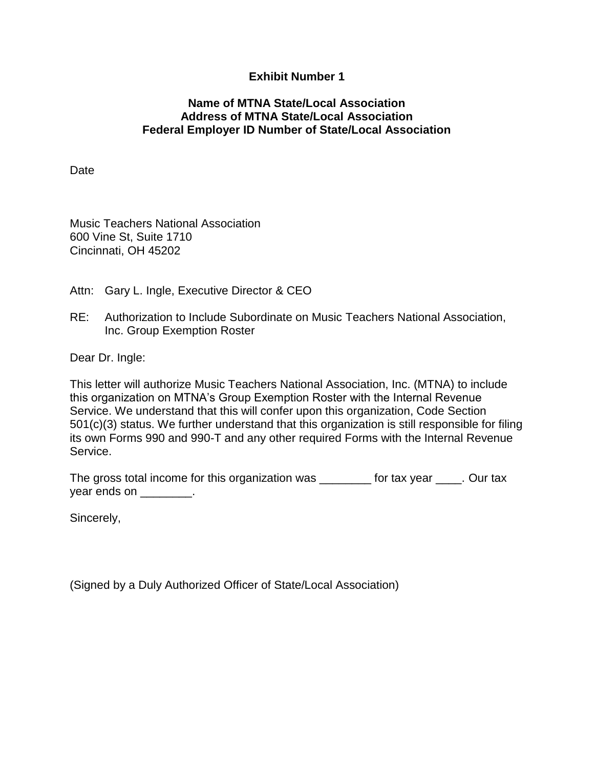## **Exhibit Number 1**

## **Name of MTNA State/Local Association Address of MTNA State/Local Association Federal Employer ID Number of State/Local Association**

**Date** 

Music Teachers National Association 600 Vine St, Suite 1710 Cincinnati, OH 45202

Attn: Gary L. Ingle, Executive Director & CEO

RE: Authorization to Include Subordinate on Music Teachers National Association, Inc. Group Exemption Roster

Dear Dr. Ingle:

This letter will authorize Music Teachers National Association, Inc. (MTNA) to include this organization on MTNA's Group Exemption Roster with the Internal Revenue Service. We understand that this will confer upon this organization, Code Section 501(c)(3) status. We further understand that this organization is still responsible for filing its own Forms 990 and 990-T and any other required Forms with the Internal Revenue Service.

The gross total income for this organization was \_\_\_\_\_\_\_\_ for tax year \_\_\_\_. Our tax year ends on \_\_\_\_\_\_\_\_.

Sincerely,

(Signed by a Duly Authorized Officer of State/Local Association)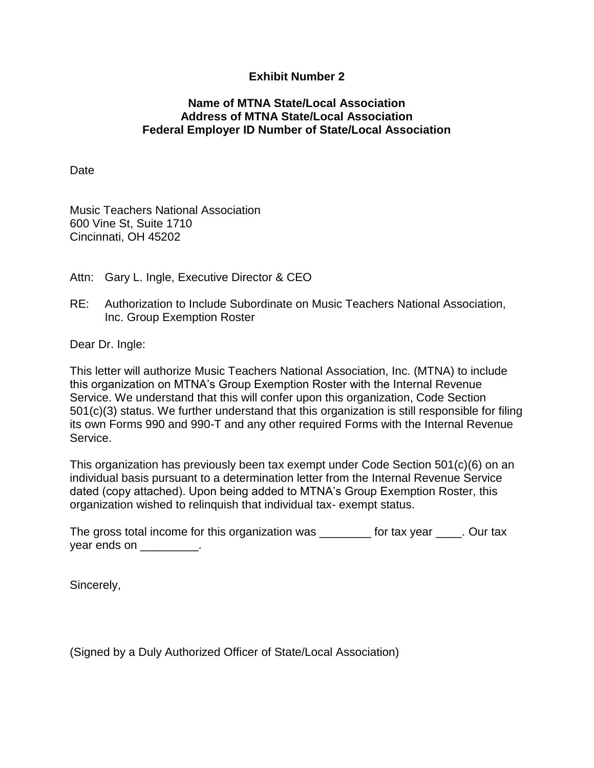## **Exhibit Number 2**

## **Name of MTNA State/Local Association Address of MTNA State/Local Association Federal Employer ID Number of State/Local Association**

Date

Music Teachers National Association 600 Vine St, Suite 1710 Cincinnati, OH 45202

- Attn: Gary L. Ingle, Executive Director & CEO
- RE: Authorization to Include Subordinate on Music Teachers National Association, Inc. Group Exemption Roster

Dear Dr. Ingle:

This letter will authorize Music Teachers National Association, Inc. (MTNA) to include this organization on MTNA's Group Exemption Roster with the Internal Revenue Service. We understand that this will confer upon this organization, Code Section 501(c)(3) status. We further understand that this organization is still responsible for filing its own Forms 990 and 990-T and any other required Forms with the Internal Revenue Service.

This organization has previously been tax exempt under Code Section 501(c)(6) on an individual basis pursuant to a determination letter from the Internal Revenue Service dated (copy attached). Upon being added to MTNA's Group Exemption Roster, this organization wished to relinquish that individual tax- exempt status.

| The gross total income for this organization was | for tax year | . Our tax |
|--------------------------------------------------|--------------|-----------|
| year ends on                                     |              |           |

Sincerely,

(Signed by a Duly Authorized Officer of State/Local Association)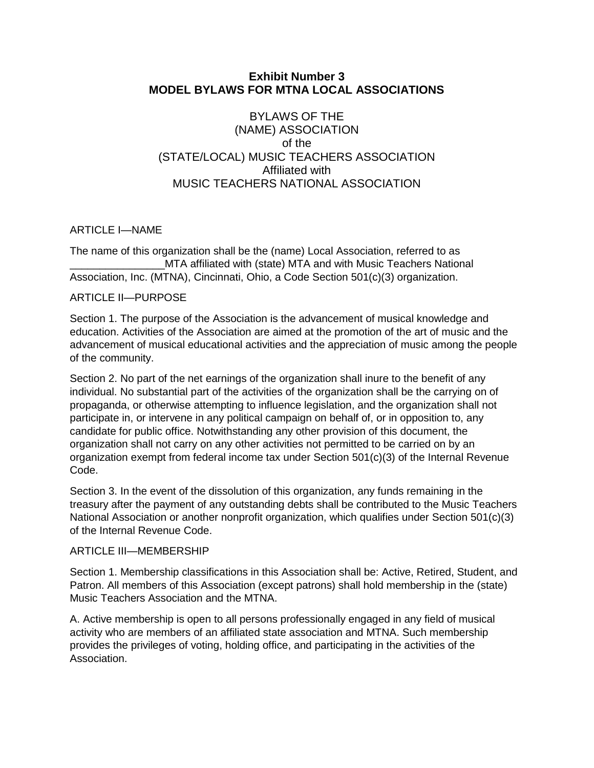## **Exhibit Number 3 MODEL BYLAWS FOR MTNA LOCAL ASSOCIATIONS**

## BYLAWS OF THE (NAME) ASSOCIATION of the (STATE/LOCAL) MUSIC TEACHERS ASSOCIATION Affiliated with MUSIC TEACHERS NATIONAL ASSOCIATION

## ARTICLE I—NAME

The name of this organization shall be the (name) Local Association, referred to as MTA affiliated with (state) MTA and with Music Teachers National Association, Inc. (MTNA), Cincinnati, Ohio, a Code Section 501(c)(3) organization.

#### ARTICLE II—PURPOSE

Section 1. The purpose of the Association is the advancement of musical knowledge and education. Activities of the Association are aimed at the promotion of the art of music and the advancement of musical educational activities and the appreciation of music among the people of the community.

Section 2. No part of the net earnings of the organization shall inure to the benefit of any individual. No substantial part of the activities of the organization shall be the carrying on of propaganda, or otherwise attempting to influence legislation, and the organization shall not participate in, or intervene in any political campaign on behalf of, or in opposition to, any candidate for public office. Notwithstanding any other provision of this document, the organization shall not carry on any other activities not permitted to be carried on by an organization exempt from federal income tax under Section 501(c)(3) of the Internal Revenue Code.

Section 3. In the event of the dissolution of this organization, any funds remaining in the treasury after the payment of any outstanding debts shall be contributed to the Music Teachers National Association or another nonprofit organization, which qualifies under Section 501(c)(3) of the Internal Revenue Code.

#### ARTICLE III—MEMBERSHIP

Section 1. Membership classifications in this Association shall be: Active, Retired, Student, and Patron. All members of this Association (except patrons) shall hold membership in the (state) Music Teachers Association and the MTNA.

A. Active membership is open to all persons professionally engaged in any field of musical activity who are members of an affiliated state association and MTNA. Such membership provides the privileges of voting, holding office, and participating in the activities of the Association.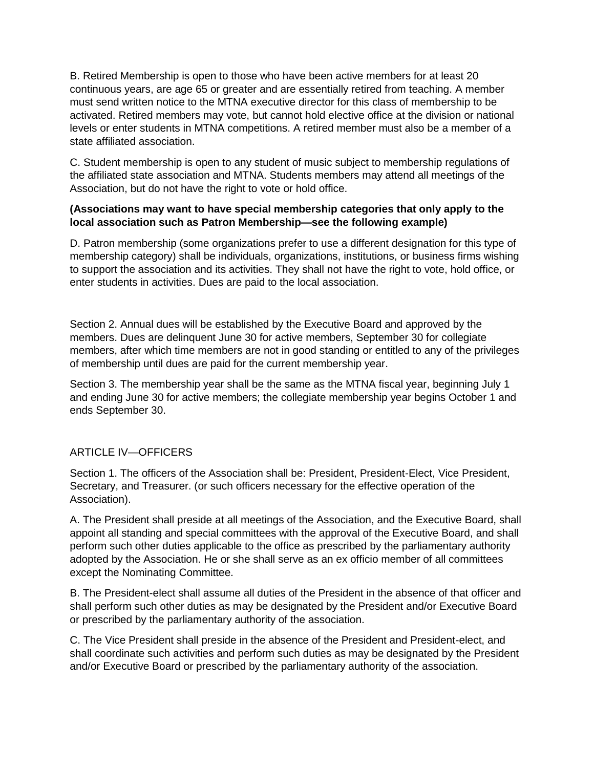B. Retired Membership is open to those who have been active members for at least 20 continuous years, are age 65 or greater and are essentially retired from teaching. A member must send written notice to the MTNA executive director for this class of membership to be activated. Retired members may vote, but cannot hold elective office at the division or national levels or enter students in MTNA competitions. A retired member must also be a member of a state affiliated association.

C. Student membership is open to any student of music subject to membership regulations of the affiliated state association and MTNA. Students members may attend all meetings of the Association, but do not have the right to vote or hold office.

#### **(Associations may want to have special membership categories that only apply to the local association such as Patron Membership—see the following example)**

D. Patron membership (some organizations prefer to use a different designation for this type of membership category) shall be individuals, organizations, institutions, or business firms wishing to support the association and its activities. They shall not have the right to vote, hold office, or enter students in activities. Dues are paid to the local association.

Section 2. Annual dues will be established by the Executive Board and approved by the members. Dues are delinquent June 30 for active members, September 30 for collegiate members, after which time members are not in good standing or entitled to any of the privileges of membership until dues are paid for the current membership year.

Section 3. The membership year shall be the same as the MTNA fiscal year, beginning July 1 and ending June 30 for active members; the collegiate membership year begins October 1 and ends September 30.

#### ARTICLE IV—OFFICERS

Section 1. The officers of the Association shall be: President, President-Elect, Vice President, Secretary, and Treasurer. (or such officers necessary for the effective operation of the Association).

A. The President shall preside at all meetings of the Association, and the Executive Board, shall appoint all standing and special committees with the approval of the Executive Board, and shall perform such other duties applicable to the office as prescribed by the parliamentary authority adopted by the Association. He or she shall serve as an ex officio member of all committees except the Nominating Committee.

B. The President-elect shall assume all duties of the President in the absence of that officer and shall perform such other duties as may be designated by the President and/or Executive Board or prescribed by the parliamentary authority of the association.

C. The Vice President shall preside in the absence of the President and President-elect, and shall coordinate such activities and perform such duties as may be designated by the President and/or Executive Board or prescribed by the parliamentary authority of the association.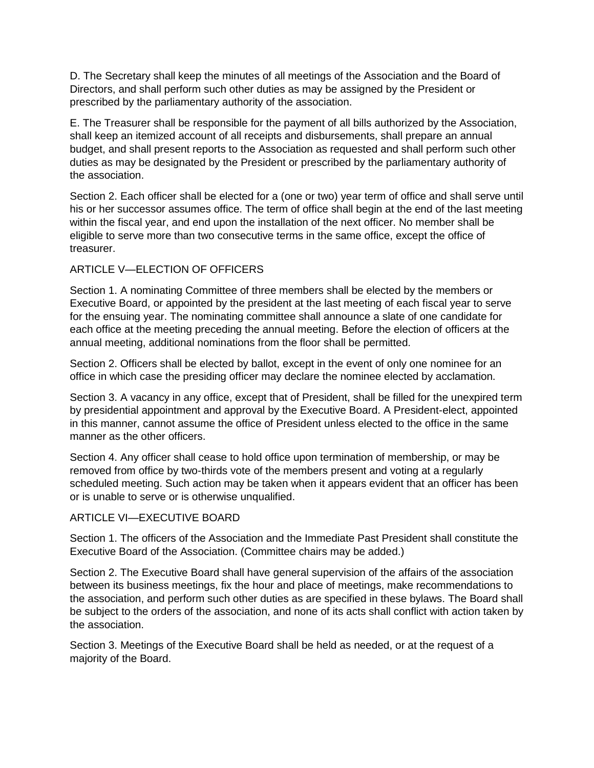D. The Secretary shall keep the minutes of all meetings of the Association and the Board of Directors, and shall perform such other duties as may be assigned by the President or prescribed by the parliamentary authority of the association.

E. The Treasurer shall be responsible for the payment of all bills authorized by the Association, shall keep an itemized account of all receipts and disbursements, shall prepare an annual budget, and shall present reports to the Association as requested and shall perform such other duties as may be designated by the President or prescribed by the parliamentary authority of the association.

Section 2. Each officer shall be elected for a (one or two) year term of office and shall serve until his or her successor assumes office. The term of office shall begin at the end of the last meeting within the fiscal year, and end upon the installation of the next officer. No member shall be eligible to serve more than two consecutive terms in the same office, except the office of treasurer.

## ARTICLE V—ELECTION OF OFFICERS

Section 1. A nominating Committee of three members shall be elected by the members or Executive Board, or appointed by the president at the last meeting of each fiscal year to serve for the ensuing year. The nominating committee shall announce a slate of one candidate for each office at the meeting preceding the annual meeting. Before the election of officers at the annual meeting, additional nominations from the floor shall be permitted.

Section 2. Officers shall be elected by ballot, except in the event of only one nominee for an office in which case the presiding officer may declare the nominee elected by acclamation.

Section 3. A vacancy in any office, except that of President, shall be filled for the unexpired term by presidential appointment and approval by the Executive Board. A President-elect, appointed in this manner, cannot assume the office of President unless elected to the office in the same manner as the other officers.

Section 4. Any officer shall cease to hold office upon termination of membership, or may be removed from office by two-thirds vote of the members present and voting at a regularly scheduled meeting. Such action may be taken when it appears evident that an officer has been or is unable to serve or is otherwise unqualified.

#### ARTICLE VI—EXECUTIVE BOARD

Section 1. The officers of the Association and the Immediate Past President shall constitute the Executive Board of the Association. (Committee chairs may be added.)

Section 2. The Executive Board shall have general supervision of the affairs of the association between its business meetings, fix the hour and place of meetings, make recommendations to the association, and perform such other duties as are specified in these bylaws. The Board shall be subject to the orders of the association, and none of its acts shall conflict with action taken by the association.

Section 3. Meetings of the Executive Board shall be held as needed, or at the request of a majority of the Board.